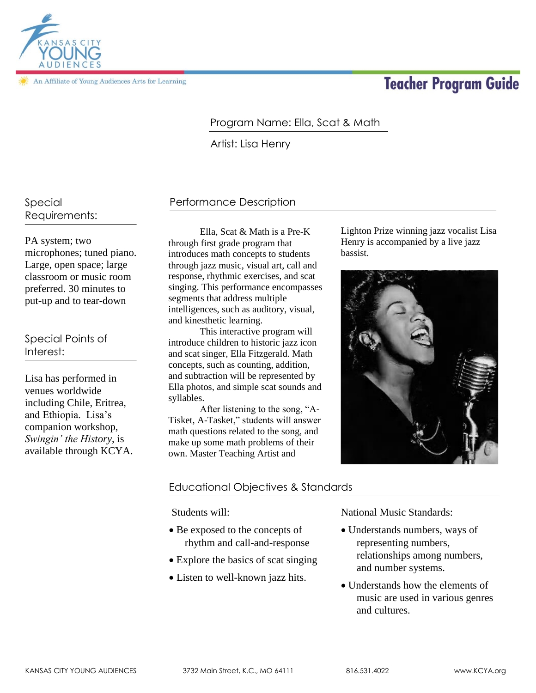# **Teacher Program Guide**

Lighton Prize winning jazz vocalist Lisa Henry is accompanied by a live jazz

bassist.



An Affiliate of Young Audiences Arts for Learning

## Program Name: Ella, Scat & Math

Artist: Lisa Henry

#### Special Requirements:

PA system; two microphones; tuned piano. Large, open space; large classroom or music room preferred. 30 minutes to put-up and to tear-down

Special Points of Interest:

Lisa has performed in venues worldwide including Chile, Eritrea, and Ethiopia. Lisa's companion workshop, *Swingin' the History*, is available through KCYA.

# Performance Description

Ella, Scat & Math is a Pre-K through first grade program that introduces math concepts to students through jazz music, visual art, call and response, rhythmic exercises, and scat singing. This performance encompasses segments that address multiple intelligences, such as auditory, visual, and kinesthetic learning.

This interactive program will introduce children to historic jazz icon and scat singer, Ella Fitzgerald. Math concepts, such as counting, addition, and subtraction will be represented by Ella photos, and simple scat sounds and syllables.

After listening to the song, "A-Tisket, A-Tasket," students will answer math questions related to the song, and make up some math problems of their own. Master Teaching Artist and

### Educational Objectives & Standards

Students will:

- Be exposed to the concepts of rhythm and call-and-response
- Explore the basics of scat singing
- Listen to well-known jazz hits.

National Music Standards:

- Understands numbers, ways of representing numbers, relationships among numbers, and number systems.
- Understands how the elements of music are used in various genres and cultures.